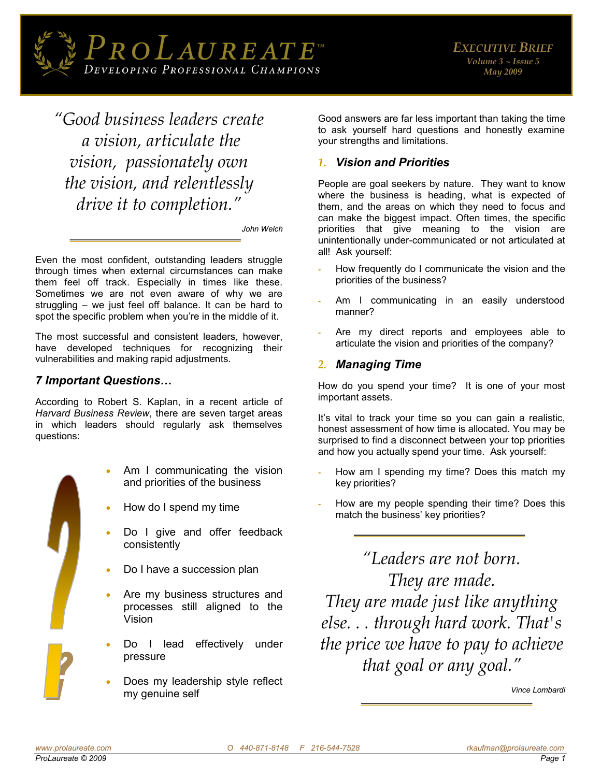

*"Good business leaders create a vision, articulate the vision, passionately own the vision, and relentlessly drive it to completion."*

*John Welch* 

Even the most confident, outstanding leaders struggle through times when external circumstances can make them feel off track. Especially in times like these. Sometimes we are not even aware of why we are struggling – we just feel off balance. It can be hard to spot the specific problem when you're in the middle of it.

The most successful and consistent leaders, however, have developed techniques for recognizing their vulnerabilities and making rapid adjustments.

# *7 Important Questions…*

According to Robert S. Kaplan, in a recent article of *Harvard Business Review*, there are seven target areas in which leaders should regularly ask themselves questions:



- Am I communicating the vision and priorities of the business
- How do I spend my time
- Do I give and offer feedback consistently
- Do I have a succession plan
- Are my business structures and processes still aligned to the Vision
- Do I lead effectively under pressure
- Does my leadership style reflect my genuine self

Good answers are far less important than taking the time to ask yourself hard questions and honestly examine your strengths and limitations.

# *1. Vision and Priorities*

People are goal seekers by nature. They want to know where the business is heading, what is expected of them, and the areas on which they need to focus and can make the biggest impact. Often times, the specific priorities that give meaning to the vision are unintentionally under-communicated or not articulated at all! Ask yourself:

- How frequently do I communicate the vision and the priorities of the business?
- Am I communicating in an easily understood manner?
- Are my direct reports and employees able to articulate the vision and priorities of the company?

## *2. Managing Time*

How do you spend your time? It is one of your most important assets.

It's vital to track your time so you can gain a realistic, honest assessment of how time is allocated. You may be surprised to find a disconnect between your top priorities and how you actually spend your time. Ask yourself:

- How am I spending my time? Does this match my key priorities?
- How are my people spending their time? Does this match the business' key priorities?

*"Leaders are not born. They are made. They are made just like anything else. . . through hard work. That's the price we have to pay to achieve that goal or any goal."*

 *Vince Lombardi*